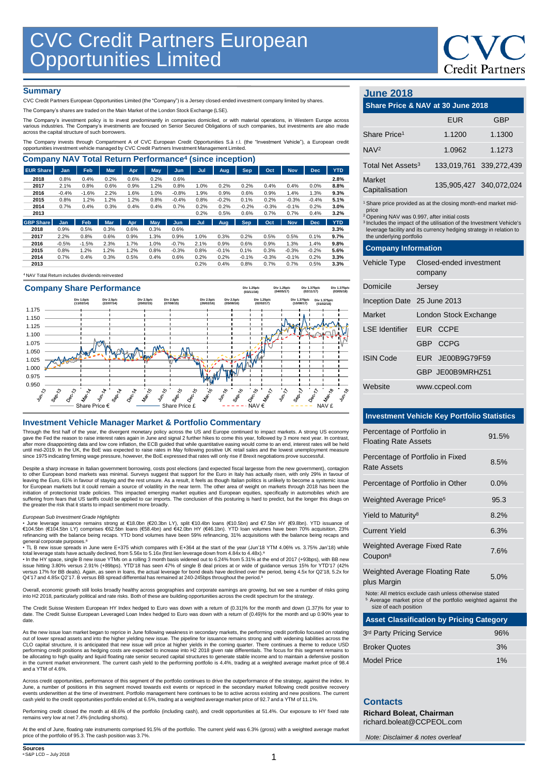# **Credit Partners**

### **Summary**

CVC Credit Partners European Opportunities Limited (the "Company") is a Jersey closed-ended investment company limited by shares.

The Company's shares are traded on the Main Market of the London Stock Exchange (LSE).

The Company's investment policy is to invest predominantly in companies domiciled, or with material operations, in Western Europe across<br>various industries. The Company's investments are focused on Senior Secured Obligatio

The Company invests through Compartment A of CVC European Credit Opportunities S.à r.l. (the "Investment Vehicle"), a European credit opportunities investment vehicle managed by CVC Credit Partners Investment Management Limited.

| <b>Company NAV Total Return Performance<sup>4</sup> (since inception)</b> |            |         |            |            |            |            |      |         |            |         |            |            |            |
|---------------------------------------------------------------------------|------------|---------|------------|------------|------------|------------|------|---------|------------|---------|------------|------------|------------|
| <b>EUR Share</b>                                                          | <b>Jan</b> | Feb     | <b>Mar</b> | <b>Apr</b> | May        | Jun        | Jul  | Aug     | Sep.       | Oct     | <b>Nov</b> | <b>Dec</b> | <b>YTD</b> |
| 2018                                                                      | 0.8%       | 0.4%    | 0.2%       | 0.6%       | 0.2%       | 0.6%       |      |         |            |         |            |            | 2.8%       |
| 2017                                                                      | 2.1%       | 0.8%    | 0.6%       | 0.9%       | 1.2%       | 0.8%       | 1.0% | 0.2%    | 0.2%       | 0.4%    | 0.4%       | 0.0%       | 8.8%       |
| 2016                                                                      | $-0.4%$    | $-1.6%$ | 2.2%       | 1.6%       | 1.0%       | $-0.8%$    | 1.9% | 0.9%    | 0.6%       | 0.9%    | 1.4%       | 1.3%       | 9.3%       |
| 2015                                                                      | 0.8%       | 1.2%    | 1.2%       | 1.2%       | 0.8%       | $-0.4%$    | 0.8% | $-0.2%$ | 0.1%       | 0.2%    | $-0.3%$    | $-0.4%$    | 5.1%       |
| 2014                                                                      | 0.7%       | 0.4%    | 0.3%       | 0.4%       | 0.4%       | 0.7%       | 0.2% | 0.2%    | $-0.2%$    | $-0.3%$ | $-0.1%$    | 0.2%       | 3.0%       |
| 2013                                                                      |            |         |            |            |            |            | 0.2% | 0.5%    | 0.6%       | 0.7%    | 0.7%       | 0.4%       | 3.2%       |
| <b>GBP Share</b>                                                          | <b>Jan</b> | Feb     | <b>Mar</b> | Apr        | <b>May</b> | <b>Jun</b> | Jul  | Aug     | <b>Sep</b> | Oct     | <b>Nov</b> | <b>Dec</b> | <b>YTD</b> |
| 2018                                                                      | 0.9%       | 0.5%    | 0.3%       | 0.6%       | 0.3%       | 0.6%       |      |         |            |         |            |            | 3.3%       |
| 2017                                                                      | 2.2%       | 0.8%    | 0.6%       | 0.9%       | 1.3%       | 0.9%       | 1.0% | 0.3%    | 0.2%       | 0.5%    | 0.5%       | 0.1%       | 9.7%       |
| 2016                                                                      | $-0.5%$    | $-1.5%$ | 2.3%       | 1.7%       | 1.0%       | $-0.7%$    | 2.1% | 0.9%    | 0.6%       | 0.9%    | 1.3%       | 1.4%       | 9.8%       |
| 2015                                                                      | 0.8%       | 1.2%    | 1.2%       | 1.2%       | 0.8%       | $-0.3%$    | 0.8% | $-0.1%$ | 0.1%       | 0.3%    | $-0.3%$    | $-0.2%$    | 5.6%       |
| 2014                                                                      | 0.7%       | 0.4%    | 0.3%       | 0.5%       | 0.4%       | 0.6%       | 0.2% | 0.2%    | $-0.1%$    | $-0.3%$ | $-0.1%$    | 0.2%       | 3.3%       |
| 2013                                                                      |            |         |            |            |            |            | 0.2% | 0.4%    | 0.8%       | 0.7%    | 0.7%       | 0.5%       | 3.3%       |
|                                                                           |            |         |            |            |            |            |      |         |            |         |            |            |            |





### **Investment Vehicle Manager Market & Portfolio Commentary**

Through the first half of the year, the divergent monetary policy across the US and Europe continued to impact markets. A strong US economy<br>gave the Fed the reason to raise interest rates again in June and signal 2 further since 1975 indicating firming wage pressure, however, the BoE expressed that rates will only rise if Brexit negotiations prove successful.

Despite a sharp increase in Italian government borrowing, costs post elections (and expected fiscal largesse from the new government), contagion to other European bond markets was minimal. Surveys suggest that support for the Euro in Italy has actually risen, with only 29% in favour of<br>leaving the Euro, 61% in favour of staying and the rest unsure. As a result, it for European markets but it could remain a source of volatility in the near term. The other area of weight on markets through 2018 has been the initiation of protectionist trade policies. This impacted emerging market equities and European equities, specifically in automobiles which are<br>suffering from fears that US tariffs could be applied to car imports. The conc the greater the risk that it starts to impact sentiment more broadly.

#### *European Sub Investment Grade Highlights*

• June leverage issuance remains strong at €18.0bn (€20.3bn LY), split €10.4bn loans (€10.5bn) and €7.5bn HY (€9.8bn). YTD issuance of<br>€104.5bn (€104.5bn LY) comprises €62.5bn loans (€58.4bn) and €42.0bn HY (€46.1bn). YTD general corporate purposes. a

• TL B new issue spreads in June were E+375 which compares with E+364 at the start of the year (Jun'18 YTM 4.06% vs. 3.75% Jan'18) while

total leverage stats have actually declined, from 5.56x to 5.16x (first lien leverage down from 4.84x to 4.48x).ª<br>• In the HY space, single B new issue YTMs on a rolling 3 month basis widened out to 6.24% from 5.31% at the Q4'17 and 4.85x Q2'17. B versus BB spread differential has remained at 240-245bps throughout the period.<sup>8</sup>

Overall, economic growth still looks broadly healthy across geographies and corporate earnings are growing, but we see a number of risks going<br>into H2 2018, particularly political and rate risks. Both of these are building

The Credit Suisse Western European HY Index hedged to Euro was down with a return of (0.31)% for the month and down (1.37)% for year to date. The Credit Suisse European Leveraged Loan Index hedged to Euro was down with a return of (0.49)% for the month and up 0.90% year to date

As the new issue loan market began to reprice in June following weakness in secondary markets, the performing credit portfolio focused on rotating<br>out of lower spread assets and into the higher yielding new issue. The pipe CLO capital structure, it is anticipated that new issue will price at higher yields in the coming quarter. There continues a theme to reduce USD<br>performing credit positions as hedging costs are expected to increase into H2 in the current market environment. The current cash yield to the performing portfolio is 4.4%, trading at a weighted average market price of 98.4 and a YTM of 4.6%.

Across credit opportunities, performance of this segment of the portfolio continues to drive the outperformance of the strategy, against the index. In<br>June, a number of positions in this segment moved towards exit events o cash yield to the credit opportunities portfolio ended at 6.5%, trading at a weighted average market price of 92.7 and a YTM of 11.1%.

Performing credit closed the month at 48.6% of the portfolio (including cash), and credit opportunities at 51.4%. Our exposure to HY fixed rate remains very low at net 7.4% (including shorts).

At the end of June, floating rate instruments comprised 91.5% of the portfolio. The current yield was 6.3% (gross) with a weighted average market price of the portfolio of 95.3. The cash position was 3.7%.

### **June 2018**

| <b>JUILE ZUTO</b>             |                                                                                                                                                                                                                                                                                                                           |                                    |                         |  |  |  |
|-------------------------------|---------------------------------------------------------------------------------------------------------------------------------------------------------------------------------------------------------------------------------------------------------------------------------------------------------------------------|------------------------------------|-------------------------|--|--|--|
|                               | Share Price & NAV at 30 June 2018                                                                                                                                                                                                                                                                                         |                                    |                         |  |  |  |
|                               |                                                                                                                                                                                                                                                                                                                           | <b>EUR</b>                         | <b>GBP</b>              |  |  |  |
| Share Price <sup>1</sup>      |                                                                                                                                                                                                                                                                                                                           | 1.1200                             | 1.1300                  |  |  |  |
| NAV <sup>2</sup>              |                                                                                                                                                                                                                                                                                                                           | 1.0962                             | 1.1273                  |  |  |  |
| Total Net Assets <sup>3</sup> |                                                                                                                                                                                                                                                                                                                           |                                    | 133,019,761 339,272,439 |  |  |  |
| Market<br>Capitalisation      |                                                                                                                                                                                                                                                                                                                           |                                    | 135,905,427 340,072,024 |  |  |  |
| price                         | <sup>1</sup> Share price provided as at the closing month-end market mid-<br><sup>2</sup> Opening NAV was 0.997, after initial costs<br><sup>3</sup> Includes the impact of the utilisation of the Investment Vehicle's<br>leverage facility and its currency hedging strategy in relation to<br>the underlying portfolio |                                    |                         |  |  |  |
| <b>Company Information</b>    |                                                                                                                                                                                                                                                                                                                           |                                    |                         |  |  |  |
| Vehicle Type                  |                                                                                                                                                                                                                                                                                                                           | Closed-ended investment<br>company |                         |  |  |  |
| Domicile                      | Jersey                                                                                                                                                                                                                                                                                                                    |                                    |                         |  |  |  |
| Inception Date 25 June 2013   |                                                                                                                                                                                                                                                                                                                           |                                    |                         |  |  |  |
| <b>Market</b>                 | London Stock Exchange                                                                                                                                                                                                                                                                                                     |                                    |                         |  |  |  |
| <b>LSE</b> Identifier         |                                                                                                                                                                                                                                                                                                                           | EUR CCPE                           |                         |  |  |  |
|                               | GBP CCPG                                                                                                                                                                                                                                                                                                                  |                                    |                         |  |  |  |
| <b>ISIN Code</b>              |                                                                                                                                                                                                                                                                                                                           | EUR JE00B9G79F59                   |                         |  |  |  |
|                               |                                                                                                                                                                                                                                                                                                                           | GBP JE00B9MRHZ51                   |                         |  |  |  |
| Website                       |                                                                                                                                                                                                                                                                                                                           | www.ccpeol.com                     |                         |  |  |  |

### **Investment Vehicle Key Portfolio Statistics**

| Percentage of Portfolio in<br><b>Floating Rate Assets</b> | 91.5%   |
|-----------------------------------------------------------|---------|
| Percentage of Portfolio in Fixed<br>Rate Assets           | 8.5%    |
| Percentage of Portfolio in Other                          | $0.0\%$ |
| Weighted Average Price <sup>5</sup>                       | 95.3    |
| Yield to Maturity <sup>8</sup>                            | 8.2%    |
| <b>Current Yield</b>                                      | 6.3%    |
| <b>Weighted Average Fixed Rate</b><br>Coupon <sup>8</sup> | 7.6%    |
| <b>Weighted Average Floating Rate</b>                     | 5.0%    |

plus Margin 5.0%

Note: All metrics exclude cash unless otherwise stated

<sup>5</sup> Average market price of the portfolio weighted against the size of each position

| 3rd Party Pricing Service | 96% |
|---------------------------|-----|
| <b>Broker Quotes</b>      | 3%  |
| Model Price               | 1%  |

### **Contacts**

**Richard Boleat, Chairman**  richard.boleat@CCPEOL.com

*Note: Disclaimer & notes overleaf*